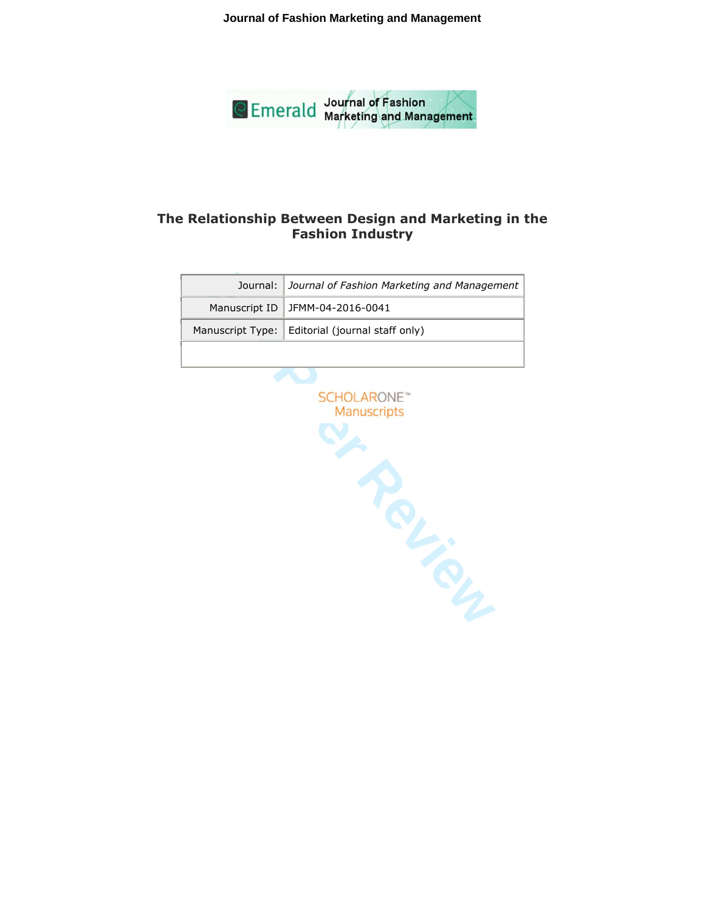**Journal of Fashion Marketing and Management**



# **The Relationship Between Design and Marketing in the Fashion Industry**

| Journal: Journal of Fashion Marketing and Management |
|------------------------------------------------------|
| Manuscript ID JFMM-04-2016-0041                      |
| Manuscript Type:   Editorial (journal staff only)    |
|                                                      |

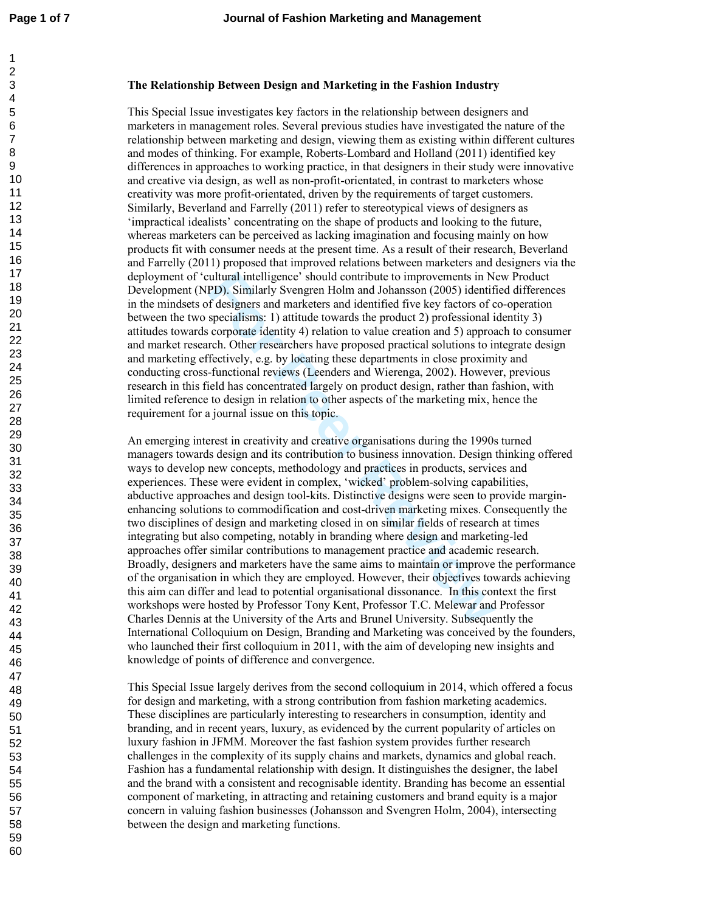## **The Relationship Between Design and Marketing in the Fashion Industry**

This Special Issue investigates key factors in the relationship between designers and marketers in management roles. Several previous studies have investigated the nature of the relationship between marketing and design, viewing them as existing within different cultures and modes of thinking. For example, Roberts-Lombard and Holland (2011) identified key differences in approaches to working practice, in that designers in their study were innovative and creative via design, as well as non-profit-orientated, in contrast to marketers whose creativity was more profit-orientated, driven by the requirements of target customers. Similarly, Beverland and Farrelly (2011) refer to stereotypical views of designers as 'impractical idealists' concentrating on the shape of products and looking to the future, whereas marketers can be perceived as lacking imagination and focusing mainly on how products fit with consumer needs at the present time. As a result of their research, Beverland and Farrelly (2011) proposed that improved relations between marketers and designers via the deployment of 'cultural intelligence' should contribute to improvements in New Product Development (NPD). Similarly Svengren Holm and Johansson (2005) identified differences in the mindsets of designers and marketers and identified five key factors of co-operation between the two specialisms: 1) attitude towards the product 2) professional identity 3) attitudes towards corporate identity 4) relation to value creation and 5) approach to consumer and market research. Other researchers have proposed practical solutions to integrate design and marketing effectively, e.g. by locating these departments in close proximity and conducting cross-functional reviews (Leenders and Wierenga, 2002). However, previous research in this field has concentrated largely on product design, rather than fashion, with limited reference to design in relation to other aspects of the marketing mix, hence the requirement for a journal issue on this topic.

ultural intelligence' should contribute to improvements in Ni<br> **FDD)**. Similarly Svengren Holm and Johansson (2005) identif<br>
f designers and marketers and identified five key factors of c<br>
specialisms: 1) attitude towards An emerging interest in creativity and creative organisations during the 1990s turned managers towards design and its contribution to business innovation. Design thinking offered ways to develop new concepts, methodology and practices in products, services and experiences. These were evident in complex, 'wicked' problem-solving capabilities, abductive approaches and design tool-kits. Distinctive designs were seen to provide marginenhancing solutions to commodification and cost-driven marketing mixes. Consequently the two disciplines of design and marketing closed in on similar fields of research at times integrating but also competing, notably in branding where design and marketing-led approaches offer similar contributions to management practice and academic research. Broadly, designers and marketers have the same aims to maintain or improve the performance of the organisation in which they are employed. However, their objectives towards achieving this aim can differ and lead to potential organisational dissonance. In this context the first workshops were hosted by Professor Tony Kent, Professor T.C. Melewar and Professor Charles Dennis at the University of the Arts and Brunel University. Subsequently the International Colloquium on Design, Branding and Marketing was conceived by the founders, who launched their first colloquium in 2011, with the aim of developing new insights and knowledge of points of difference and convergence.

This Special Issue largely derives from the second colloquium in 2014, which offered a focus for design and marketing, with a strong contribution from fashion marketing academics. These disciplines are particularly interesting to researchers in consumption, identity and branding, and in recent years, luxury, as evidenced by the current popularity of articles on luxury fashion in JFMM. Moreover the fast fashion system provides further research challenges in the complexity of its supply chains and markets, dynamics and global reach. Fashion has a fundamental relationship with design. It distinguishes the designer, the label and the brand with a consistent and recognisable identity. Branding has become an essential component of marketing, in attracting and retaining customers and brand equity is a major concern in valuing fashion businesses (Johansson and Svengren Holm, 2004), intersecting between the design and marketing functions.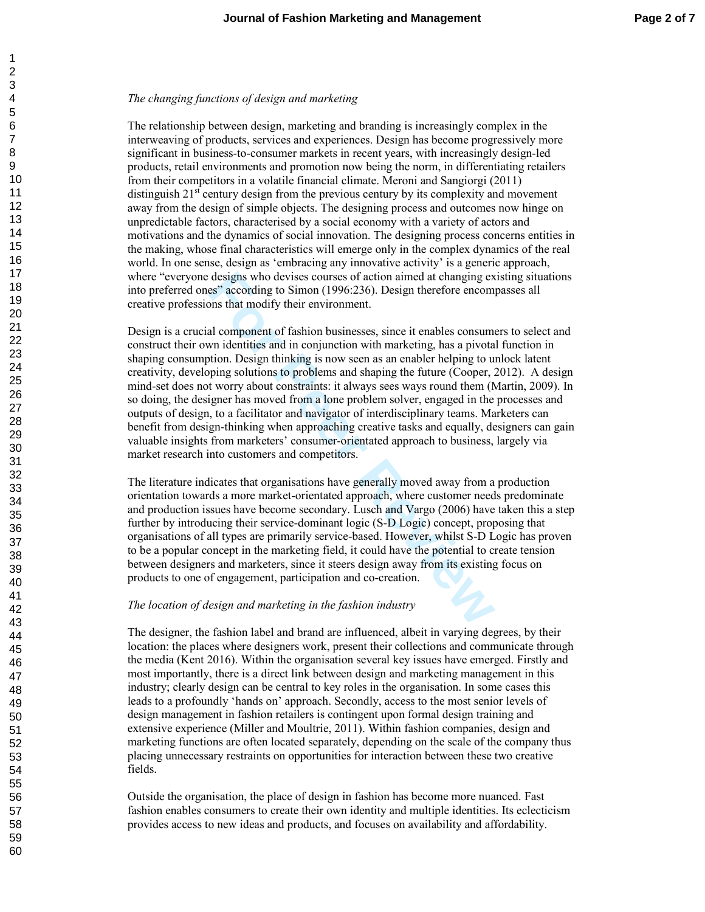## *The changing functions of design and marketing*

The relationship between design, marketing and branding is increasingly complex in the interweaving of products, services and experiences. Design has become progressively more significant in business-to-consumer markets in recent years, with increasingly design-led products, retail environments and promotion now being the norm, in differentiating retailers from their competitors in a volatile financial climate. Meroni and Sangiorgi (2011) distinguish  $21<sup>st</sup>$  century design from the previous century by its complexity and movement away from the design of simple objects. The designing process and outcomes now hinge on unpredictable factors, characterised by a social economy with a variety of actors and motivations and the dynamics of social innovation. The designing process concerns entities in the making, whose final characteristics will emerge only in the complex dynamics of the real world. In one sense, design as 'embracing any innovative activity' is a generic approach, where "everyone designs who devises courses of action aimed at changing existing situations into preferred ones" according to Simon (1996:236). Design therefore encompasses all creative professions that modify their environment.

designs who devises courses of action aimed at changing ex<br>es" according to Simon (1996:236). Design therefore encompons that modify their environment.<br>al component of fashion businesses, since it enables consume<br>while the Design is a crucial component of fashion businesses, since it enables consumers to select and construct their own identities and in conjunction with marketing, has a pivotal function in shaping consumption. Design thinking is now seen as an enabler helping to unlock latent creativity, developing solutions to problems and shaping the future (Cooper, 2012). A design mind-set does not worry about constraints: it always sees ways round them (Martin, 2009). In so doing, the designer has moved from a lone problem solver, engaged in the processes and outputs of design, to a facilitator and navigator of interdisciplinary teams. Marketers can benefit from design-thinking when approaching creative tasks and equally, designers can gain valuable insights from marketers' consumer-orientated approach to business, largely via market research into customers and competitors.

The literature indicates that organisations have generally moved away from a production orientation towards a more market-orientated approach, where customer needs predominate and production issues have become secondary. Lusch and Vargo (2006) have taken this a step further by introducing their service-dominant logic (S-D Logic) concept, proposing that organisations of all types are primarily service-based. However, whilst S-D Logic has proven to be a popular concept in the marketing field, it could have the potential to create tension between designers and marketers, since it steers design away from its existing focus on products to one of engagement, participation and co-creation.

## *The location of design and marketing in the fashion industry*

The designer, the fashion label and brand are influenced, albeit in varying degrees, by their location: the places where designers work, present their collections and communicate through the media (Kent 2016). Within the organisation several key issues have emerged. Firstly and most importantly, there is a direct link between design and marketing management in this industry; clearly design can be central to key roles in the organisation. In some cases this leads to a profoundly 'hands on' approach. Secondly, access to the most senior levels of design management in fashion retailers is contingent upon formal design training and extensive experience (Miller and Moultrie, 2011). Within fashion companies, design and marketing functions are often located separately, depending on the scale of the company thus placing unnecessary restraints on opportunities for interaction between these two creative fields.

Outside the organisation, the place of design in fashion has become more nuanced. Fast fashion enables consumers to create their own identity and multiple identities. Its eclecticism provides access to new ideas and products, and focuses on availability and affordability.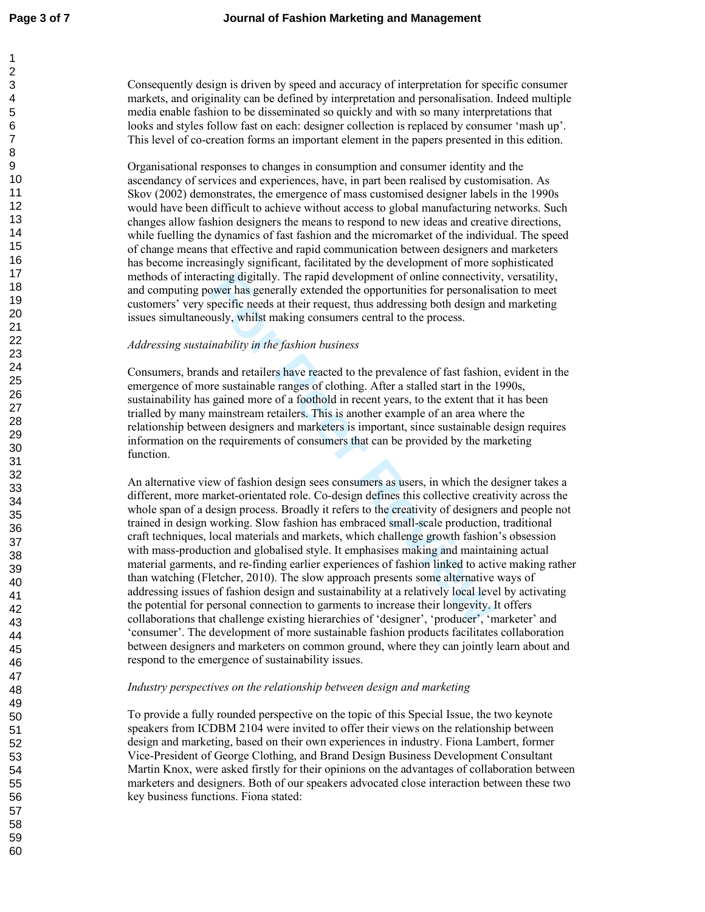$\mathbf{1}$ 

Consequently design is driven by speed and accuracy of interpretation for specific consumer markets, and originality can be defined by interpretation and personalisation. Indeed multiple media enable fashion to be disseminated so quickly and with so many interpretations that looks and styles follow fast on each: designer collection is replaced by consumer 'mash up'. This level of co-creation forms an important element in the papers presented in this edition.

Organisational responses to changes in consumption and consumer identity and the ascendancy of services and experiences, have, in part been realised by customisation. As Skov (2002) demonstrates, the emergence of mass customised designer labels in the 1990s would have been difficult to achieve without access to global manufacturing networks. Such changes allow fashion designers the means to respond to new ideas and creative directions, while fuelling the dynamics of fast fashion and the micromarket of the individual. The speed of change means that effective and rapid communication between designers and marketers has become increasingly significant, facilitated by the development of more sophisticated methods of interacting digitally. The rapid development of online connectivity, versatility, and computing power has generally extended the opportunities for personalisation to meet customers' very specific needs at their request, thus addressing both design and marketing issues simultaneously, whilst making consumers central to the process.

### *Addressing sustainability in the fashion business*

Consumers, brands and retailers have reacted to the prevalence of fast fashion, evident in the emergence of more sustainable ranges of clothing. After a stalled start in the 1990s, sustainability has gained more of a foothold in recent years, to the extent that it has been trialled by many mainstream retailers. This is another example of an area where the relationship between designers and marketers is important, since sustainable design requires information on the requirements of consumers that can be provided by the marketing function.

comparison and the summannial system of online connectivity<br>over has generally extended the opportunities for personalisa<br>specific needs at their request, thus addressing both design an<br>usly, whilst making consumers centra An alternative view of fashion design sees consumers as users, in which the designer takes a different, more market-orientated role. Co-design defines this collective creativity across the whole span of a design process. Broadly it refers to the creativity of designers and people not trained in design working. Slow fashion has embraced small-scale production, traditional craft techniques, local materials and markets, which challenge growth fashion's obsession with mass-production and globalised style. It emphasises making and maintaining actual material garments, and re-finding earlier experiences of fashion linked to active making rather than watching (Fletcher, 2010). The slow approach presents some alternative ways of addressing issues of fashion design and sustainability at a relatively local level by activating the potential for personal connection to garments to increase their longevity. It offers collaborations that challenge existing hierarchies of 'designer', 'producer', 'marketer' and 'consumer'. The development of more sustainable fashion products facilitates collaboration between designers and marketers on common ground, where they can jointly learn about and respond to the emergence of sustainability issues.

### *Industry perspectives on the relationship between design and marketing*

To provide a fully rounded perspective on the topic of this Special Issue, the two keynote speakers from ICDBM 2104 were invited to offer their views on the relationship between design and marketing, based on their own experiences in industry. Fiona Lambert, former Vice-President of George Clothing, and Brand Design Business Development Consultant Martin Knox, were asked firstly for their opinions on the advantages of collaboration between marketers and designers. Both of our speakers advocated close interaction between these two key business functions. Fiona stated: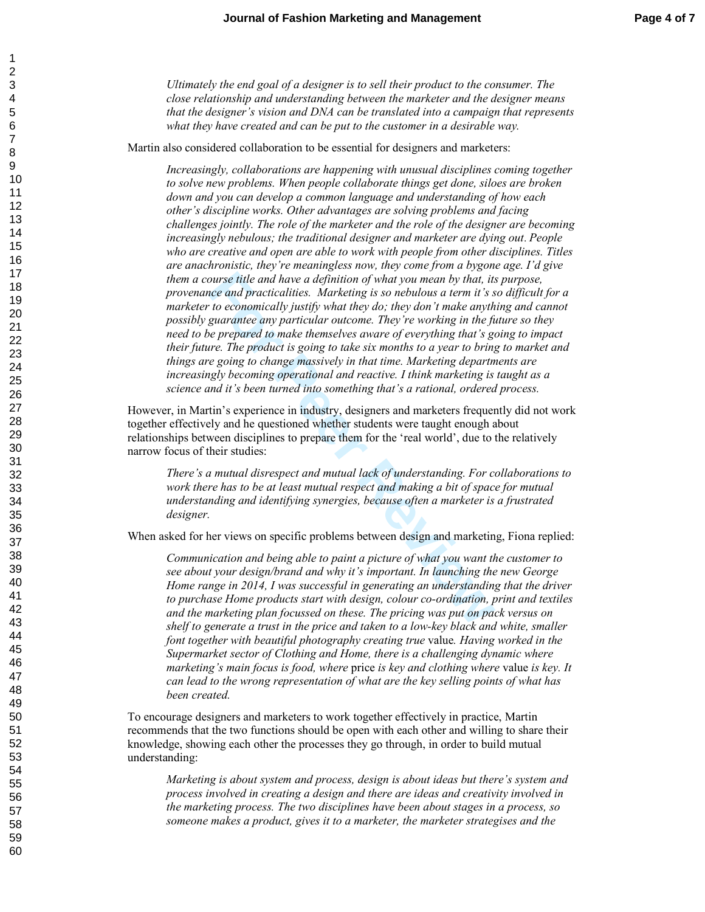*Ultimately the end goal of a designer is to sell their product to the consumer. The close relationship and understanding between the marketer and the designer means that the designer's vision and DNA can be translated into a campaign that represents what they have created and can be put to the customer in a desirable way.* 

Martin also considered collaboration to be essential for designers and marketers:

ourse title and have a definition of what you mean by that, it:<br>the and practicalities. Marketing is so nebulous a term it's s<br>to economically justify what they do; they don't make anythe<br>guarantee any particular outcome. *Increasingly, collaborations are happening with unusual disciplines coming together to solve new problems. When people collaborate things get done, siloes are broken down and you can develop a common language and understanding of how each other's discipline works. Other advantages are solving problems and facing challenges jointly. The role of the marketer and the role of the designer are becoming increasingly nebulous; the traditional designer and marketer are dying out*. *People who are creative and open are able to work with people from other disciplines. Titles are anachronistic, they're meaningless now, they come from a bygone age. I'd give them a course title and have a definition of what you mean by that, its purpose, provenance and practicalities. Marketing is so nebulous a term it's so difficult for a marketer to economically justify what they do; they don't make anything and cannot possibly guarantee any particular outcome. They're working in the future so they need to be prepared to make themselves aware of everything that's going to impact their future. The product is going to take six months to a year to bring to market and things are going to change massively in that time. Marketing departments are increasingly becoming operational and reactive. I think marketing is taught as a science and it's been turned into something that's a rational, ordered process.* 

However, in Martin's experience in industry, designers and marketers frequently did not work together effectively and he questioned whether students were taught enough about relationships between disciplines to prepare them for the 'real world', due to the relatively narrow focus of their studies:

*There's a mutual disrespect and mutual lack of understanding. For collaborations to*  work there has to be at least mutual respect and making a bit of space for mutual *understanding and identifying synergies, because often a marketer is a frustrated designer.* 

When asked for her views on specific problems between design and marketing, Fiona replied:

*Communication and being able to paint a picture of what you want the customer to see about your design/brand and why it's important. In launching the new George Home range in 2014, I was successful in generating an understanding that the driver to purchase Home products start with design, colour co-ordination, print and textiles and the marketing plan focussed on these. The pricing was put on pack versus on shelf to generate a trust in the price and taken to a low-key black and white, smaller font together with beautiful photography creating true* value*. Having worked in the Supermarket sector of Clothing and Home, there is a challenging dynamic where marketing's main focus is food, where* price *is key and clothing where* value *is key. It can lead to the wrong representation of what are the key selling points of what has been created.* 

To encourage designers and marketers to work together effectively in practice, Martin recommends that the two functions should be open with each other and willing to share their knowledge, showing each other the processes they go through, in order to build mutual understanding:

*Marketing is about system and process, design is about ideas but there's system and process involved in creating a design and there are ideas and creativity involved in the marketing process. The two disciplines have been about stages in a process, so someone makes a product, gives it to a marketer, the marketer strategises and the*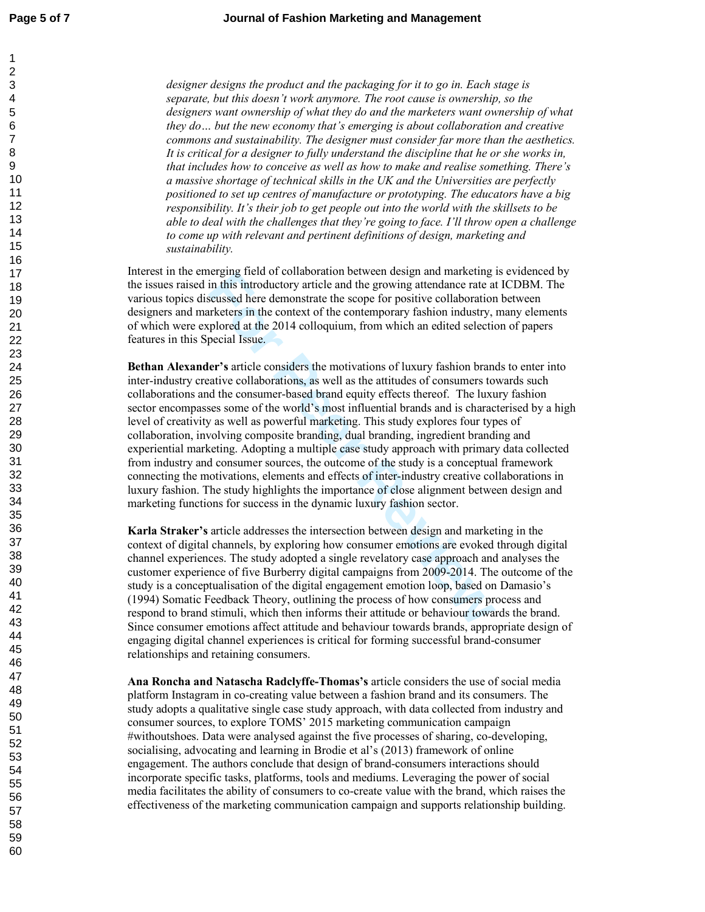$\mathbf{1}$  $\overline{2}$ 

*designer designs the product and the packaging for it to go in. Each stage is separate, but this doesn't work anymore. The root cause is ownership, so the designers want ownership of what they do and the marketers want ownership of what they do… but the new economy that's emerging is about collaboration and creative commons and sustainability. The designer must consider far more than the aesthetics. It is critical for a designer to fully understand the discipline that he or she works in, that includes how to conceive as well as how to make and realise something. There's a massive shortage of technical skills in the UK and the Universities are perfectly positioned to set up centres of manufacture or prototyping. The educators have a big responsibility. It's their job to get people out into the world with the skillsets to be able to deal with the challenges that they're going to face. I'll throw open a challenge to come up with relevant and pertinent definitions of design, marketing and sustainability.* 

Interest in the emerging field of collaboration between design and marketing is evidenced by the issues raised in this introductory article and the growing attendance rate at ICDBM. The various topics discussed here demonstrate the scope for positive collaboration between designers and marketers in the context of the contemporary fashion industry, many elements of which were explored at the 2014 colloquium, from which an edited selection of papers features in this Special Issue.

**For Peer Review Bethan Alexander's** article considers the motivations of luxury fashion brands to enter into inter-industry creative collaborations, as well as the attitudes of consumers towards such collaborations and the consumer-based brand equity effects thereof. The luxury fashion sector encompasses some of the world's most influential brands and is characterised by a high level of creativity as well as powerful marketing. This study explores four types of collaboration, involving composite branding, dual branding, ingredient branding and experiential marketing. Adopting a multiple case study approach with primary data collected from industry and consumer sources, the outcome of the study is a conceptual framework connecting the motivations, elements and effects of inter-industry creative collaborations in luxury fashion. The study highlights the importance of close alignment between design and marketing functions for success in the dynamic luxury fashion sector.

**Karla Straker's** article addresses the intersection between design and marketing in the context of digital channels, by exploring how consumer emotions are evoked through digital channel experiences. The study adopted a single revelatory case approach and analyses the customer experience of five Burberry digital campaigns from 2009-2014. The outcome of the study is a conceptualisation of the digital engagement emotion loop, based on Damasio's (1994) Somatic Feedback Theory, outlining the process of how consumers process and respond to brand stimuli, which then informs their attitude or behaviour towards the brand. Since consumer emotions affect attitude and behaviour towards brands, appropriate design of engaging digital channel experiences is critical for forming successful brand-consumer relationships and retaining consumers.

**Ana Roncha and Natascha Radclyffe-Thomas's** article considers the use of social media platform Instagram in co-creating value between a fashion brand and its consumers. The study adopts a qualitative single case study approach, with data collected from industry and consumer sources, to explore TOMS' 2015 marketing communication campaign #withoutshoes. Data were analysed against the five processes of sharing, co-developing, socialising, advocating and learning in Brodie et al's (2013) framework of online engagement. The authors conclude that design of brand-consumers interactions should incorporate specific tasks, platforms, tools and mediums. Leveraging the power of social media facilitates the ability of consumers to co-create value with the brand, which raises the effectiveness of the marketing communication campaign and supports relationship building.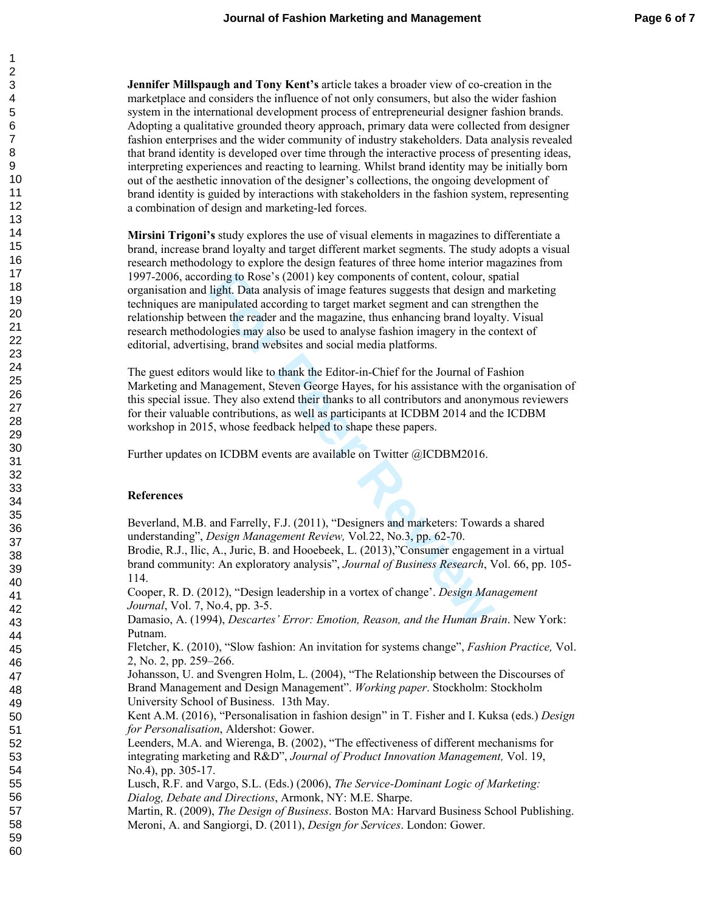**Jennifer Millspaugh and Tony Kent's** article takes a broader view of co-creation in the marketplace and considers the influence of not only consumers, but also the wider fashion system in the international development process of entrepreneurial designer fashion brands. Adopting a qualitative grounded theory approach, primary data were collected from designer fashion enterprises and the wider community of industry stakeholders. Data analysis revealed that brand identity is developed over time through the interactive process of presenting ideas, interpreting experiences and reacting to learning. Whilst brand identity may be initially born out of the aesthetic innovation of the designer's collections, the ongoing development of brand identity is guided by interactions with stakeholders in the fashion system, representing a combination of design and marketing-led forces.

rding to Rose's (2001) key components of content, colour, st<br>light. Data analysis of image features suggests that design are<br>anipulated according to target market esgenent and can streng<br>veen the reader and the magazine, t **Mirsini Trigoni's** study explores the use of visual elements in magazines to differentiate a brand, increase brand loyalty and target different market segments. The study adopts a visual research methodology to explore the design features of three home interior magazines from 1997-2006, according to Rose's (2001) key components of content, colour, spatial organisation and light. Data analysis of image features suggests that design and marketing techniques are manipulated according to target market segment and can strengthen the relationship between the reader and the magazine, thus enhancing brand loyalty. Visual research methodologies may also be used to analyse fashion imagery in the context of editorial, advertising, brand websites and social media platforms.

The guest editors would like to thank the Editor-in-Chief for the Journal of Fashion Marketing and Management, Steven George Hayes, for his assistance with the organisation of this special issue. They also extend their thanks to all contributors and anonymous reviewers for their valuable contributions, as well as participants at ICDBM 2014 and the ICDBM workshop in 2015, whose feedback helped to shape these papers.

Further updates on ICDBM events are available on Twitter @ICDBM2016.

### **References**

Beverland, M.B. and Farrelly, F.J. (2011), "Designers and marketers: Towards a shared understanding", *Design Management Review,* Vol*.*22, No.3, pp. 62-70.

Brodie, R.J., Ilic, A., Juric, B. and Hooebeek, L. (2013),"Consumer engagement in a virtual brand community: An exploratory analysis", *Journal of Business Research*, Vol. 66, pp. 105- 114.

Cooper, R. D. (2012), "Design leadership in a vortex of change'. *Design Management Journal*, Vol. 7, No.4, pp. 3-5.

Damasio, A. (1994), *Descartes' Error: Emotion, Reason, and the Human Brain*. New York: Putnam.

Fletcher, K. (2010), "Slow fashion: An invitation for systems change", *Fashion Practice,* Vol. 2, No. 2, pp. 259–266.

Johansson, U. and Svengren Holm, L. (2004), "The Relationship between the Discourses of Brand Management and Design Management". *Working paper*. Stockholm: Stockholm University School of Business. 13th May.

Kent A.M. (2016), "Personalisation in fashion design " in T. Fisher and I. Kuksa (eds.) *Design for Personalisation* , Aldershot: Gower.

Leenders, M.A. and Wierenga, B. (2002), "The effectiveness of different mechanisms for integrating marketing and R&D", *Journal of Product Innovation Management,* Vol. 19, No.4), pp. 305-17.

Lusch, R.F. and Vargo, S.L. (Eds.) (2006), *The Service-Dominant Logic of Marketing: Dialog, Debate and Directions*, Armonk, NY: M.E. Sharpe.

Martin, R. (2009), *The Design of Business*. Boston MA: Harvard Business School Publishing. Meroni, A. and Sangiorgi, D. (2011), *Design for Services*. London: Gower.